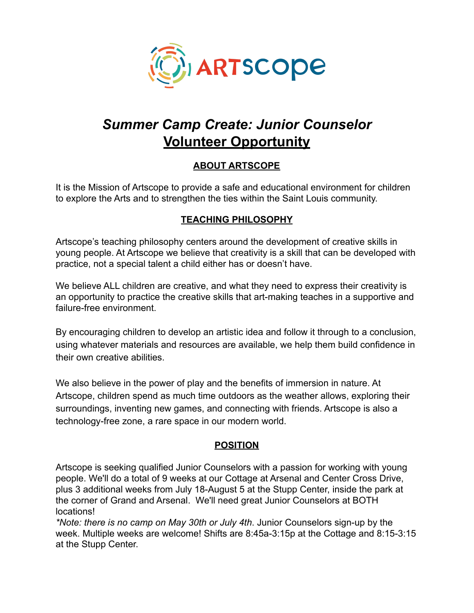

# *Summer Camp Create: Junior Counselor* **Volunteer Opportunity**

# **ABOUT ARTSCOPE**

It is the Mission of Artscope to provide a safe and educational environment for children to explore the Arts and to strengthen the ties within the Saint Louis community.

## **TEACHING PHILOSOPHY**

Artscope's teaching philosophy centers around the development of creative skills in young people. At Artscope we believe that creativity is a skill that can be developed with practice, not a special talent a child either has or doesn't have.

We believe ALL children are creative, and what they need to express their creativity is an opportunity to practice the creative skills that art-making teaches in a supportive and failure-free environment.

By encouraging children to develop an artistic idea and follow it through to a conclusion, using whatever materials and resources are available, we help them build confidence in their own creative abilities.

We also believe in the power of play and the benefits of immersion in nature. At Artscope, children spend as much time outdoors as the weather allows, exploring their surroundings, inventing new games, and connecting with friends. Artscope is also a technology-free zone, a rare space in our modern world.

## **POSITION**

Artscope is seeking qualified Junior Counselors with a passion for working with young people. We'll do a total of 9 weeks at our Cottage at Arsenal and Center Cross Drive, plus 3 additional weeks from July 18-August 5 at the Stupp Center, inside the park at the corner of Grand and Arsenal. We'll need great Junior Counselors at BOTH locations!

*\*Note: there is no camp on May 30th or July 4th*. Junior Counselors sign-up by the week. Multiple weeks are welcome! Shifts are 8:45a-3:15p at the Cottage and 8:15-3:15 at the Stupp Center.